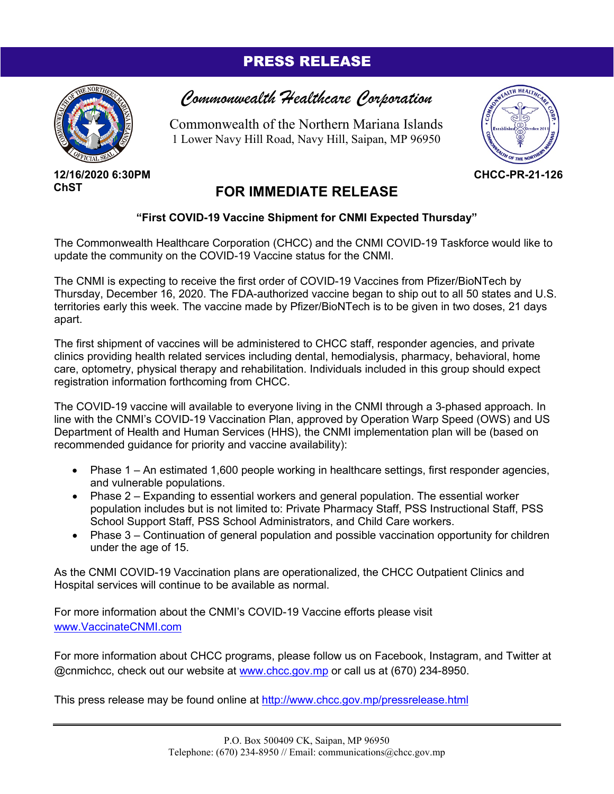## PRESS RELEASE



**12/16/2020 6:30PM ChST**

## *Commonwealth Healthcare Corporation*

Commonwealth of the Northern Mariana Islands 1 Lower Navy Hill Road, Navy Hill, Saipan, MP 96950



**CHCC-PR-21-126**

## **FOR IMMEDIATE RELEASE**

## **"First COVID-19 Vaccine Shipment for CNMI Expected Thursday"**

The Commonwealth Healthcare Corporation (CHCC) and the CNMI COVID-19 Taskforce would like to update the community on the COVID-19 Vaccine status for the CNMI.

The CNMI is expecting to receive the first order of COVID-19 Vaccines from Pfizer/BioNTech by Thursday, December 16, 2020. The FDA-authorized vaccine began to ship out to all 50 states and U.S. territories early this week. The vaccine made by Pfizer/BioNTech is to be given in two doses, 21 days apart.

The first shipment of vaccines will be administered to CHCC staff, responder agencies, and private clinics providing health related services including dental, hemodialysis, pharmacy, behavioral, home care, optometry, physical therapy and rehabilitation. Individuals included in this group should expect registration information forthcoming from CHCC.

The COVID-19 vaccine will available to everyone living in the CNMI through a 3-phased approach. In line with the CNMI's COVID-19 Vaccination Plan, approved by Operation Warp Speed (OWS) and US Department of Health and Human Services (HHS), the CNMI implementation plan will be (based on recommended guidance for priority and vaccine availability):

- Phase 1 An estimated 1,600 people working in healthcare settings, first responder agencies, and vulnerable populations.
- Phase 2 Expanding to essential workers and general population. The essential worker population includes but is not limited to: Private Pharmacy Staff, PSS Instructional Staff, PSS School Support Staff, PSS School Administrators, and Child Care workers.
- Phase 3 Continuation of general population and possible vaccination opportunity for children under the age of 15.

As the CNMI COVID-19 Vaccination plans are operationalized, the CHCC Outpatient Clinics and Hospital services will continue to be available as normal.

For more information about the CNMI's COVID-19 Vaccine efforts please visit [www.VaccinateCNMI.com](http://www.vaccinatecnmi.com/)

For more information about CHCC programs, please follow us on Facebook, Instagram, and Twitter at @cnmichcc, check out our website at [www.chcc.gov.mp](http://www.chcc.gov.mp/) or call us at (670) 234-8950.

This press release may be found online at<http://www.chcc.gov.mp/pressrelease.html>